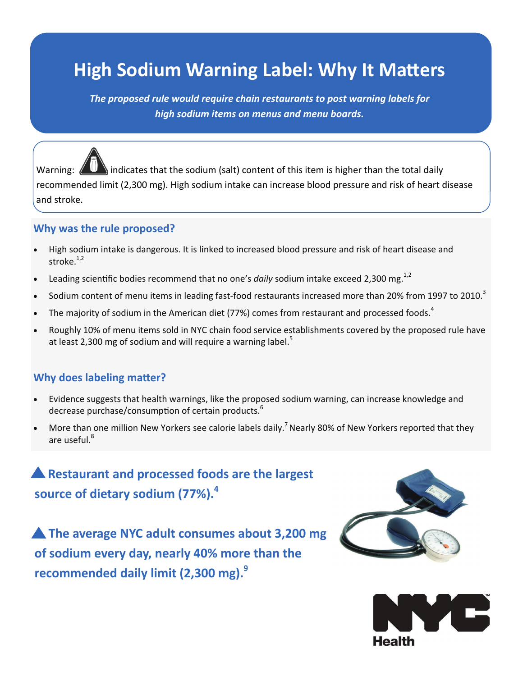# **High Sodium Warning Label: Why It Matters**

*The proposed rule would require chain restaurants to post warning labels for high sodium items on menus and menu boards.*

Warning:  $\langle \langle \rangle$  indicates that the sodium (salt) content of this item is higher than the total daily recommended limit (2,300 mg). High sodium intake can increase blood pressure and risk of heart disease and stroke.

#### **Why was the rule proposed?**

- High sodium intake is dangerous. It is linked to increased blood pressure and risk of heart disease and stroke. $1,2$
- Leading scientific bodies recommend that no one's *daily* sodium intake exceed 2,300 mg.<sup>1,2</sup>
- Sodium content of menu items in leading fast-food restaurants increased more than 20% from 1997 to 2010.<sup>3</sup>
- The majority of sodium in the American diet (77%) comes from restaurant and processed foods.<sup>4</sup>
- Roughly 10% of menu items sold in NYC chain food service establishments covered by the proposed rule have at least 2,300 mg of sodium and will require a warning label.<sup>5</sup>

#### **Why does labeling matter?**

- Evidence suggests that health warnings, like the proposed sodium warning, can increase knowledge and decrease purchase/consumption of certain products.<sup>6</sup>
- More than one million New Yorkers see calorie labels daily.<sup>7</sup> Nearly 80% of New Yorkers reported that they are useful.<sup>8</sup>

### **Restaurant and processed foods are the largest source of dietary sodium (77%).<sup>4</sup>**

**A** The average NYC adult consumes about 3,200 mg **of sodium every day, nearly 40% more than the recommended daily limit (2,300 mg).9**